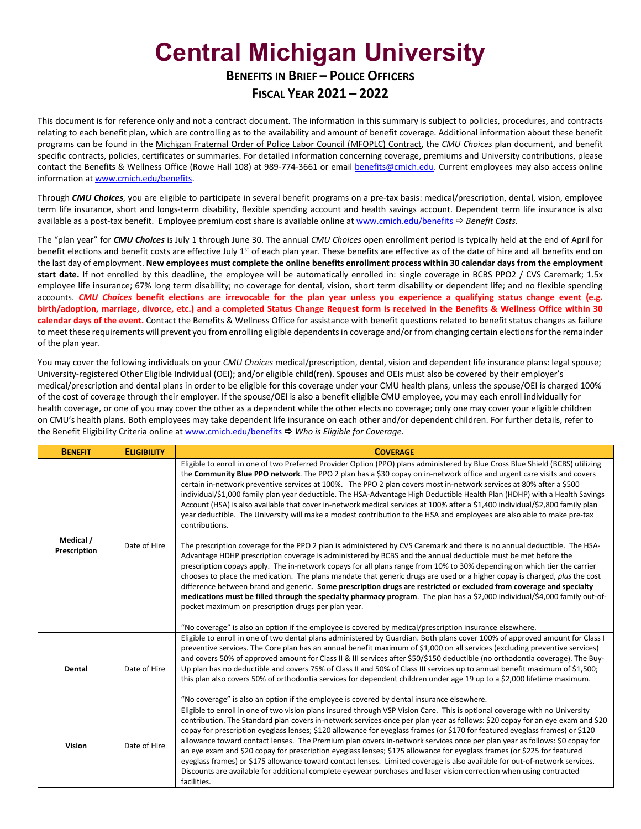# **Central Michigan University**

#### **BENEFITS IN BRIEF – POLICE OFFICERS FISCAL YEAR 2021 – 2022**

This document is for reference only and not a contract document. The information in this summary is subject to policies, procedures, and contracts relating to each benefit plan, which are controlling as to the availability and amount of benefit coverage. Additional information about these benefit programs can be found in the Michigan Fraternal Order of Police Labor Council (MFOPLC) Contract, the *CMU Choices* plan document, and benefit specific contracts, policies, certificates or summaries. For detailed information concerning coverage, premiums and University contributions, please contact the Benefits & Wellness Office (Rowe Hall 108) at 989-774-3661 or email **benefits@cmich.edu**. Current employees may also access online information at [www.cmich.edu/benefits.](http://www.cmich.edu/benefits)

Through *CMU Choices*, you are eligible to participate in several benefit programs on a pre-tax basis: medical/prescription, dental, vision, employee term life insurance, short and longs-term disability, flexible spending account and health savings account. Dependent term life insurance is also available as a post-tax benefit. Employee premium cost share is available online at [www.cmich.edu/benefits](http://www.cmich.edu/benefits) *Benefit Costs.*

The "plan year" for *CMU Choices* is July 1 through June 30. The annual *CMU Choices* open enrollment period is typically held at the end of April for benefit elections and benefit costs are effective July 1<sup>st</sup> of each plan year. These benefits are effective as of the date of hire and all benefits end on the last day of employment. **New employees must complete the online benefits enrollment process within 30 calendar days from the employment start date.** If not enrolled by this deadline, the employee will be automatically enrolled in: single coverage in BCBS PPO2 / CVS Caremark; 1.5x employee life insurance; 67% long term disability; no coverage for dental, vision, short term disability or dependent life; and no flexible spending accounts. *CMU Choices* **benefit elections are irrevocable for the plan year unless you experience a qualifying status change event (e.g. birth/adoption, marriage, divorce, etc.) and a completed Status Change Request form is received in the Benefits & Wellness Office within 30 calendar days of the event.** Contact the Benefits & Wellness Office for assistance with benefit questions related to benefit status changes as failure to meet these requirements will prevent you from enrolling eligible dependents in coverage and/or from changing certain elections for the remainder of the plan year.

You may cover the following individuals on your *CMU Choices* medical/prescription, dental, vision and dependent life insurance plans: legal spouse; University-registered Other Eligible Individual (OEI); and/or eligible child(ren). Spouses and OEIs must also be covered by their employer's medical/prescription and dental plans in order to be eligible for this coverage under your CMU health plans, unless the spouse/OEI is charged 100% of the cost of coverage through their employer. If the spouse/OEI is also a benefit eligible CMU employee, you may each enroll individually for health coverage, or one of you may cover the other as a dependent while the other elects no coverage; only one may cover your eligible children on CMU's health plans. Both employees may take dependent life insurance on each other and/or dependent children. For further details, refer to the Benefit Eligibility Criteria online at [www.cmich.edu/benefits](http://www.cmich.edu/benefits) *Who is Eligible for Coverage.*

| <b>BENEFIT</b> | <b>ELIGIBILITY</b> | <b>COVERAGE</b>                                                                                                                                                                                                                                                                                                                                                                                                                                                                                                                                                                                                                                                                                                                                                                                                                                                                                                          |
|----------------|--------------------|--------------------------------------------------------------------------------------------------------------------------------------------------------------------------------------------------------------------------------------------------------------------------------------------------------------------------------------------------------------------------------------------------------------------------------------------------------------------------------------------------------------------------------------------------------------------------------------------------------------------------------------------------------------------------------------------------------------------------------------------------------------------------------------------------------------------------------------------------------------------------------------------------------------------------|
| Medical /      | Date of Hire       | Eligible to enroll in one of two Preferred Provider Option (PPO) plans administered by Blue Cross Blue Shield (BCBS) utilizing<br>the Community Blue PPO network. The PPO 2 plan has a \$30 copay on in-network office and urgent care visits and covers<br>certain in-network preventive services at 100%. The PPO 2 plan covers most in-network services at 80% after a \$500<br>individual/\$1,000 family plan year deductible. The HSA-Advantage High Deductible Health Plan (HDHP) with a Health Savings<br>Account (HSA) is also available that cover in-network medical services at 100% after a \$1,400 individual/\$2,800 family plan<br>year deductible. The University will make a modest contribution to the HSA and employees are also able to make pre-tax<br>contributions.<br>The prescription coverage for the PPO 2 plan is administered by CVS Caremark and there is no annual deductible. The HSA-   |
| Prescription   |                    | Advantage HDHP prescription coverage is administered by BCBS and the annual deductible must be met before the<br>prescription copays apply. The in-network copays for all plans range from 10% to 30% depending on which tier the carrier<br>chooses to place the medication. The plans mandate that generic drugs are used or a higher copay is charged, plus the cost<br>difference between brand and generic. Some prescription drugs are restricted or excluded from coverage and specialty<br>medications must be filled through the specialty pharmacy program. The plan has a \$2,000 individual/\$4,000 family out-of-<br>pocket maximum on prescription drugs per plan year.<br>"No coverage" is also an option if the employee is covered by medical/prescription insurance elsewhere.                                                                                                                         |
| Dental         | Date of Hire       | Eligible to enroll in one of two dental plans administered by Guardian. Both plans cover 100% of approved amount for Class I<br>preventive services. The Core plan has an annual benefit maximum of \$1,000 on all services (excluding preventive services)<br>and covers 50% of approved amount for Class II & III services after \$50/\$150 deductible (no orthodontia coverage). The Buy-<br>Up plan has no deductible and covers 75% of Class II and 50% of Class III services up to annual benefit maximum of \$1,500;<br>this plan also covers 50% of orthodontia services for dependent children under age 19 up to a \$2,000 lifetime maximum.<br>"No coverage" is also an option if the employee is covered by dental insurance elsewhere.                                                                                                                                                                      |
| <b>Vision</b>  | Date of Hire       | Eligible to enroll in one of two vision plans insured through VSP Vision Care. This is optional coverage with no University<br>contribution. The Standard plan covers in-network services once per plan year as follows: \$20 copay for an eye exam and \$20<br>copay for prescription eyeglass lenses; \$120 allowance for eyeglass frames (or \$170 for featured eyeglass frames) or \$120<br>allowance toward contact lenses. The Premium plan covers in-network services once per plan year as follows: \$0 copay for<br>an eye exam and \$20 copay for prescription eyeglass lenses; \$175 allowance for eyeglass frames (or \$225 for featured<br>eyeglass frames) or \$175 allowance toward contact lenses. Limited coverage is also available for out-of-network services.<br>Discounts are available for additional complete eyewear purchases and laser vision correction when using contracted<br>facilities. |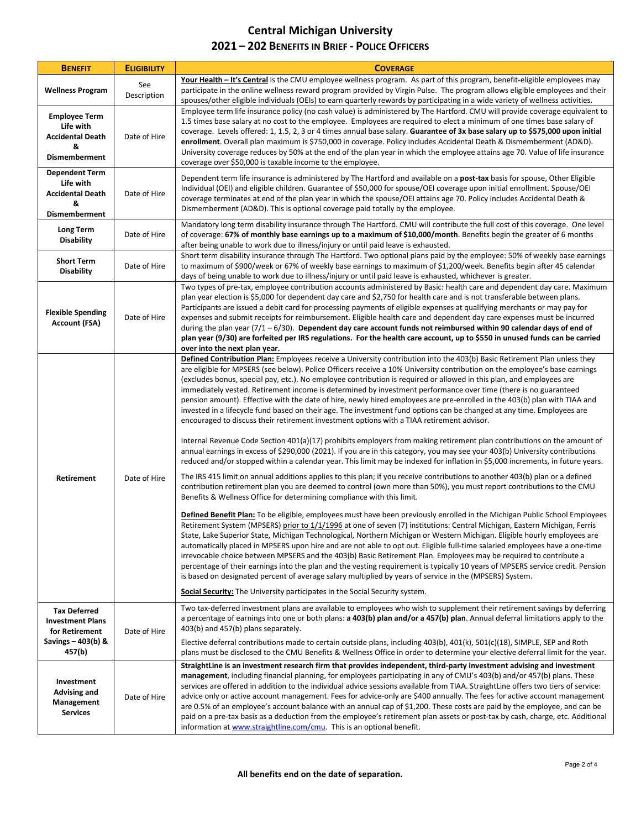## **Central Michigan University 2021 – 202 BENEFITS IN BRIEF - POLICE OFFICERS**

| <b>BENEFIT</b>                                                                             | <b>ELIGIBILITY</b> | <b>COVERAGE</b>                                                                                                                                                                                                                                                                                                                                                                                                                                                                                                                                                                                                                                                                                                                                                                                                                                                                                                                                                                                                                                                                                                                                                                                                                                                                                                                                                                                                                                                                                                                                                                                                                                                                                                                                                                                                                                 |
|--------------------------------------------------------------------------------------------|--------------------|-------------------------------------------------------------------------------------------------------------------------------------------------------------------------------------------------------------------------------------------------------------------------------------------------------------------------------------------------------------------------------------------------------------------------------------------------------------------------------------------------------------------------------------------------------------------------------------------------------------------------------------------------------------------------------------------------------------------------------------------------------------------------------------------------------------------------------------------------------------------------------------------------------------------------------------------------------------------------------------------------------------------------------------------------------------------------------------------------------------------------------------------------------------------------------------------------------------------------------------------------------------------------------------------------------------------------------------------------------------------------------------------------------------------------------------------------------------------------------------------------------------------------------------------------------------------------------------------------------------------------------------------------------------------------------------------------------------------------------------------------------------------------------------------------------------------------------------------------|
| <b>Wellness Program</b>                                                                    | See<br>Description | Your Health - It's Central is the CMU employee wellness program. As part of this program, benefit-eligible employees may<br>participate in the online wellness reward program provided by Virgin Pulse. The program allows eligible employees and their<br>spouses/other eligible individuals (OEIs) to earn quarterly rewards by participating in a wide variety of wellness activities.                                                                                                                                                                                                                                                                                                                                                                                                                                                                                                                                                                                                                                                                                                                                                                                                                                                                                                                                                                                                                                                                                                                                                                                                                                                                                                                                                                                                                                                       |
| <b>Employee Term</b><br>Life with<br><b>Accidental Death</b><br>&<br><b>Dismemberment</b>  | Date of Hire       | Employee term life insurance policy (no cash value) is administered by The Hartford. CMU will provide coverage equivalent to<br>1.5 times base salary at no cost to the employee. Employees are required to elect a minimum of one times base salary of<br>coverage. Levels offered: 1, 1.5, 2, 3 or 4 times annual base salary. Guarantee of 3x base salary up to \$575,000 upon initial<br>enrollment. Overall plan maximum is \$750,000 in coverage. Policy includes Accidental Death & Dismemberment (AD&D).<br>University coverage reduces by 50% at the end of the plan year in which the employee attains age 70. Value of life insurance<br>coverage over \$50,000 is taxable income to the employee.                                                                                                                                                                                                                                                                                                                                                                                                                                                                                                                                                                                                                                                                                                                                                                                                                                                                                                                                                                                                                                                                                                                                   |
| <b>Dependent Term</b><br>Life with<br><b>Accidental Death</b><br>&<br><b>Dismemberment</b> | Date of Hire       | Dependent term life insurance is administered by The Hartford and available on a post-tax basis for spouse, Other Eligible<br>Individual (OEI) and eligible children. Guarantee of \$50,000 for spouse/OEI coverage upon initial enrollment. Spouse/OEI<br>coverage terminates at end of the plan year in which the spouse/OEI attains age 70. Policy includes Accidental Death &<br>Dismemberment (AD&D). This is optional coverage paid totally by the employee.                                                                                                                                                                                                                                                                                                                                                                                                                                                                                                                                                                                                                                                                                                                                                                                                                                                                                                                                                                                                                                                                                                                                                                                                                                                                                                                                                                              |
| Long Term<br><b>Disability</b>                                                             | Date of Hire       | Mandatory long term disability insurance through The Hartford. CMU will contribute the full cost of this coverage. One level<br>of coverage: 67% of monthly base earnings up to a maximum of \$10,000/month. Benefits begin the greater of 6 months<br>after being unable to work due to illness/injury or until paid leave is exhausted.                                                                                                                                                                                                                                                                                                                                                                                                                                                                                                                                                                                                                                                                                                                                                                                                                                                                                                                                                                                                                                                                                                                                                                                                                                                                                                                                                                                                                                                                                                       |
| <b>Short Term</b><br><b>Disability</b>                                                     | Date of Hire       | Short term disability insurance through The Hartford. Two optional plans paid by the employee: 50% of weekly base earnings<br>to maximum of \$900/week or 67% of weekly base earnings to maximum of \$1,200/week. Benefits begin after 45 calendar<br>days of being unable to work due to illness/injury or until paid leave is exhausted, whichever is greater.                                                                                                                                                                                                                                                                                                                                                                                                                                                                                                                                                                                                                                                                                                                                                                                                                                                                                                                                                                                                                                                                                                                                                                                                                                                                                                                                                                                                                                                                                |
| <b>Flexible Spending</b><br><b>Account (FSA)</b>                                           | Date of Hire       | Two types of pre-tax, employee contribution accounts administered by Basic: health care and dependent day care. Maximum<br>plan year election is \$5,000 for dependent day care and \$2,750 for health care and is not transferable between plans.<br>Participants are issued a debit card for processing payments of eligible expenses at qualifying merchants or may pay for<br>expenses and submit receipts for reimbursement. Eligible health care and dependent day care expenses must be incurred<br>during the plan year $(7/1 - 6/30)$ . Dependent day care account funds not reimbursed within 90 calendar days of end of<br>plan year (9/30) are forfeited per IRS regulations. For the health care account, up to \$550 in unused funds can be carried<br>over into the next plan year.                                                                                                                                                                                                                                                                                                                                                                                                                                                                                                                                                                                                                                                                                                                                                                                                                                                                                                                                                                                                                                              |
| Retirement                                                                                 | Date of Hire       | Defined Contribution Plan: Employees receive a University contribution into the 403(b) Basic Retirement Plan unless they<br>are eligible for MPSERS (see below). Police Officers receive a 10% University contribution on the employee's base earnings<br>(excludes bonus, special pay, etc.). No employee contribution is required or allowed in this plan, and employees are<br>immediately vested. Retirement income is determined by investment performance over time (there is no guaranteed<br>pension amount). Effective with the date of hire, newly hired employees are pre-enrolled in the 403(b) plan with TIAA and<br>invested in a lifecycle fund based on their age. The investment fund options can be changed at any time. Employees are<br>encouraged to discuss their retirement investment options with a TIAA retirement advisor.<br>Internal Revenue Code Section 401(a)(17) prohibits employers from making retirement plan contributions on the amount of<br>annual earnings in excess of \$290,000 (2021). If you are in this category, you may see your 403(b) University contributions<br>reduced and/or stopped within a calendar year. This limit may be indexed for inflation in \$5,000 increments, in future years.<br>The IRS 415 limit on annual additions applies to this plan; if you receive contributions to another 403(b) plan or a defined<br>contribution retirement plan you are deemed to control (own more than 50%), you must report contributions to the CMU<br>Benefits & Wellness Office for determining compliance with this limit.<br>Defined Benefit Plan: To be eligible, employees must have been previously enrolled in the Michigan Public School Employees<br>Retirement System (MPSERS) prior to 1/1/1996 at one of seven (7) institutions: Central Michigan, Eastern Michigan, Ferris |
|                                                                                            |                    | State, Lake Superior State, Michigan Technological, Northern Michigan or Western Michigan. Eligible hourly employees are<br>automatically placed in MPSERS upon hire and are not able to opt out. Eligible full-time salaried employees have a one-time<br>irrevocable choice between MPSERS and the 403(b) Basic Retirement Plan. Employees may be required to contribute a<br>percentage of their earnings into the plan and the vesting requirement is typically 10 years of MPSERS service credit. Pension<br>is based on designated percent of average salary multiplied by years of service in the (MPSERS) System.<br><b>Social Security:</b> The University participates in the Social Security system.                                                                                                                                                                                                                                                                                                                                                                                                                                                                                                                                                                                                                                                                                                                                                                                                                                                                                                                                                                                                                                                                                                                                 |
| <b>Tax Deferred</b><br><b>Investment Plans</b><br>for Retirement<br>Savings $-403(b)$ &    | Date of Hire       | Two tax-deferred investment plans are available to employees who wish to supplement their retirement savings by deferring<br>a percentage of earnings into one or both plans: a 403(b) plan and/or a 457(b) plan. Annual deferral limitations apply to the<br>403(b) and 457(b) plans separately.<br>Elective deferral contributions made to certain outside plans, including 403(b), 401(k), 501(c)(18), SIMPLE, SEP and Roth                                                                                                                                                                                                                                                                                                                                                                                                                                                                                                                                                                                                                                                                                                                                                                                                                                                                                                                                                                                                                                                                                                                                                                                                                                                                                                                                                                                                                  |
| 457(b)<br>Investment<br><b>Advising and</b><br>Management<br><b>Services</b>               | Date of Hire       | plans must be disclosed to the CMU Benefits & Wellness Office in order to determine your elective deferral limit for the year.<br>StraightLine is an investment research firm that provides independent, third-party investment advising and investment<br>management, including financial planning, for employees participating in any of CMU's 403(b) and/or 457(b) plans. These<br>services are offered in addition to the individual advice sessions available from TIAA. StraightLine offers two tiers of service:<br>advice only or active account management. Fees for advice-only are \$400 annually. The fees for active account management<br>are 0.5% of an employee's account balance with an annual cap of \$1,200. These costs are paid by the employee, and can be<br>paid on a pre-tax basis as a deduction from the employee's retirement plan assets or post-tax by cash, charge, etc. Additional<br>information at www.straightline.com/cmu. This is an optional benefit.                                                                                                                                                                                                                                                                                                                                                                                                                                                                                                                                                                                                                                                                                                                                                                                                                                                    |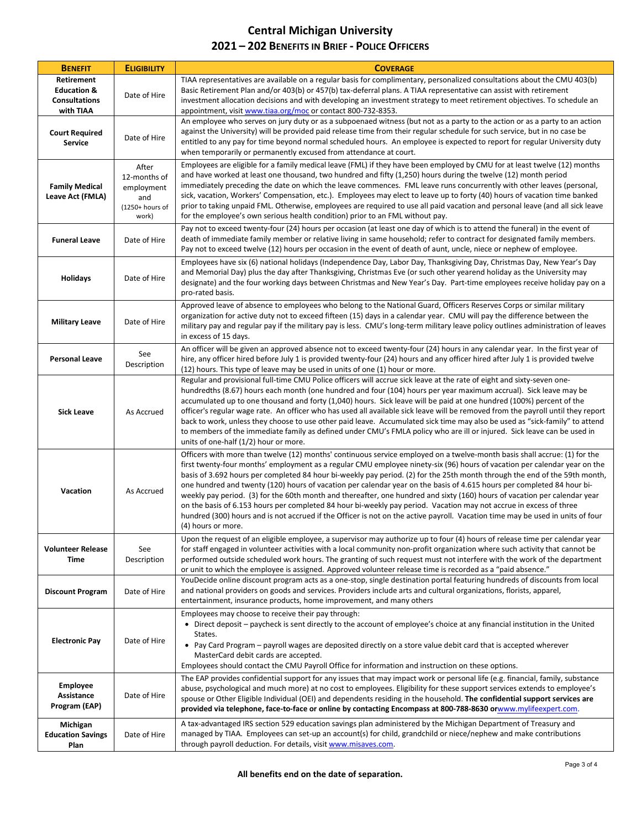### **Central Michigan University 2021 – 202 BENEFITS IN BRIEF - POLICE OFFICERS**

| <b>BENEFIT</b>                                                            | <b>ELIGIBILITY</b>                                                     | <b>COVERAGE</b>                                                                                                                                                                                                                                                                                                                                                                                                                                                                                                                                                                                                                                                                                                                                                                                                                                                                                                           |
|---------------------------------------------------------------------------|------------------------------------------------------------------------|---------------------------------------------------------------------------------------------------------------------------------------------------------------------------------------------------------------------------------------------------------------------------------------------------------------------------------------------------------------------------------------------------------------------------------------------------------------------------------------------------------------------------------------------------------------------------------------------------------------------------------------------------------------------------------------------------------------------------------------------------------------------------------------------------------------------------------------------------------------------------------------------------------------------------|
| Retirement<br><b>Education &amp;</b><br><b>Consultations</b><br>with TIAA | Date of Hire                                                           | TIAA representatives are available on a regular basis for complimentary, personalized consultations about the CMU 403(b)<br>Basic Retirement Plan and/or 403(b) or 457(b) tax-deferral plans. A TIAA representative can assist with retirement<br>investment allocation decisions and with developing an investment strategy to meet retirement objectives. To schedule an<br>appointment, visit www.tiaa.org/moc or contact 800-732-8353.                                                                                                                                                                                                                                                                                                                                                                                                                                                                                |
| <b>Court Required</b><br><b>Service</b>                                   | Date of Hire                                                           | An employee who serves on jury duty or as a subpoenaed witness (but not as a party to the action or as a party to an action<br>against the University) will be provided paid release time from their regular schedule for such service, but in no case be<br>entitled to any pay for time beyond normal scheduled hours. An employee is expected to report for regular University duty<br>when temporarily or permanently excused from attendance at court.                                                                                                                                                                                                                                                                                                                                                                                                                                                               |
| <b>Family Medical</b><br>Leave Act (FMLA)                                 | After<br>12-months of<br>employment<br>and<br>(1250+ hours of<br>work) | Employees are eligible for a family medical leave (FML) if they have been employed by CMU for at least twelve (12) months<br>and have worked at least one thousand, two hundred and fifty (1,250) hours during the twelve (12) month period<br>immediately preceding the date on which the leave commences. FML leave runs concurrently with other leaves (personal,<br>sick, vacation, Workers' Compensation, etc.). Employees may elect to leave up to forty (40) hours of vacation time banked<br>prior to taking unpaid FML. Otherwise, employees are required to use all paid vacation and personal leave (and all sick leave<br>for the employee's own serious health condition) prior to an FML without pay.                                                                                                                                                                                                       |
| <b>Funeral Leave</b>                                                      | Date of Hire                                                           | Pay not to exceed twenty-four (24) hours per occasion (at least one day of which is to attend the funeral) in the event of<br>death of immediate family member or relative living in same household; refer to contract for designated family members.<br>Pay not to exceed twelve (12) hours per occasion in the event of death of aunt, uncle, niece or nephew of employee.                                                                                                                                                                                                                                                                                                                                                                                                                                                                                                                                              |
| <b>Holidays</b>                                                           | Date of Hire                                                           | Employees have six (6) national holidays (Independence Day, Labor Day, Thanksgiving Day, Christmas Day, New Year's Day<br>and Memorial Day) plus the day after Thanksgiving, Christmas Eve (or such other yearend holiday as the University may<br>designate) and the four working days between Christmas and New Year's Day. Part-time employees receive holiday pay on a<br>pro-rated basis.                                                                                                                                                                                                                                                                                                                                                                                                                                                                                                                            |
| <b>Military Leave</b>                                                     | Date of Hire                                                           | Approved leave of absence to employees who belong to the National Guard, Officers Reserves Corps or similar military<br>organization for active duty not to exceed fifteen (15) days in a calendar year. CMU will pay the difference between the<br>military pay and regular pay if the military pay is less. CMU's long-term military leave policy outlines administration of leaves<br>in excess of 15 days.                                                                                                                                                                                                                                                                                                                                                                                                                                                                                                            |
| <b>Personal Leave</b>                                                     | See<br>Description                                                     | An officer will be given an approved absence not to exceed twenty-four (24) hours in any calendar year. In the first year of<br>hire, any officer hired before July 1 is provided twenty-four (24) hours and any officer hired after July 1 is provided twelve<br>(12) hours. This type of leave may be used in units of one (1) hour or more.                                                                                                                                                                                                                                                                                                                                                                                                                                                                                                                                                                            |
| <b>Sick Leave</b>                                                         | As Accrued                                                             | Regular and provisional full-time CMU Police officers will accrue sick leave at the rate of eight and sixty-seven one-<br>hundredths (8.67) hours each month (one hundred and four (104) hours per year maximum accrual). Sick leave may be<br>accumulated up to one thousand and forty (1,040) hours. Sick leave will be paid at one hundred (100%) percent of the<br>officer's regular wage rate. An officer who has used all available sick leave will be removed from the payroll until they report<br>back to work, unless they choose to use other paid leave. Accumulated sick time may also be used as "sick-family" to attend<br>to members of the immediate family as defined under CMU's FMLA policy who are ill or injured. Sick leave can be used in<br>units of one-half (1/2) hour or more.                                                                                                                |
| Vacation                                                                  | As Accrued                                                             | Officers with more than twelve (12) months' continuous service employed on a twelve-month basis shall accrue: (1) for the<br>first twenty-four months' employment as a regular CMU employee ninety-six (96) hours of vacation per calendar year on the<br>basis of 3.692 hours per completed 84 hour bi-weekly pay period. (2) for the 25th month through the end of the 59th month,<br>one hundred and twenty (120) hours of vacation per calendar year on the basis of 4.615 hours per completed 84 hour bi-<br>weekly pay period. (3) for the 60th month and thereafter, one hundred and sixty (160) hours of vacation per calendar year<br>on the basis of 6.153 hours per completed 84 hour bi-weekly pay period. Vacation may not accrue in excess of three<br>hundred (300) hours and is not accrued if the Officer is not on the active payroll. Vacation time may be used in units of four<br>(4) hours or more. |
| <b>Volunteer Release</b><br>Time                                          | See<br>Description                                                     | Upon the request of an eligible employee, a supervisor may authorize up to four (4) hours of release time per calendar year<br>for staff engaged in volunteer activities with a local community non-profit organization where such activity that cannot be<br>performed outside scheduled work hours. The granting of such request must not interfere with the work of the department<br>or unit to which the employee is assigned. Approved volunteer release time is recorded as a "paid absence."                                                                                                                                                                                                                                                                                                                                                                                                                      |
| <b>Discount Program</b>                                                   | Date of Hire                                                           | YouDecide online discount program acts as a one-stop, single destination portal featuring hundreds of discounts from local<br>and national providers on goods and services. Providers include arts and cultural organizations, florists, apparel,<br>entertainment, insurance products, home improvement, and many others                                                                                                                                                                                                                                                                                                                                                                                                                                                                                                                                                                                                 |
| <b>Electronic Pay</b>                                                     | Date of Hire                                                           | Employees may choose to receive their pay through:<br>• Direct deposit – paycheck is sent directly to the account of employee's choice at any financial institution in the United<br>States.<br>• Pay Card Program - payroll wages are deposited directly on a store value debit card that is accepted wherever<br>MasterCard debit cards are accepted.<br>Employees should contact the CMU Payroll Office for information and instruction on these options.                                                                                                                                                                                                                                                                                                                                                                                                                                                              |
| <b>Employee</b><br>Assistance<br>Program (EAP)                            | Date of Hire                                                           | The EAP provides confidential support for any issues that may impact work or personal life (e.g. financial, family, substance<br>abuse, psychological and much more) at no cost to employees. Eligibility for these support services extends to employee's<br>spouse or Other Eligible Individual (OEI) and dependents residing in the household. The confidential support services are<br>provided via telephone, face-to-face or online by contacting Encompass at 800-788-8630 orwww.mylifeexpert.com.                                                                                                                                                                                                                                                                                                                                                                                                                 |
| Michigan<br><b>Education Savings</b><br>Plan                              | Date of Hire                                                           | A tax-advantaged IRS section 529 education savings plan administered by the Michigan Department of Treasury and<br>managed by TIAA. Employees can set-up an account(s) for child, grandchild or niece/nephew and make contributions<br>through payroll deduction. For details, visit www.misaves.com.                                                                                                                                                                                                                                                                                                                                                                                                                                                                                                                                                                                                                     |